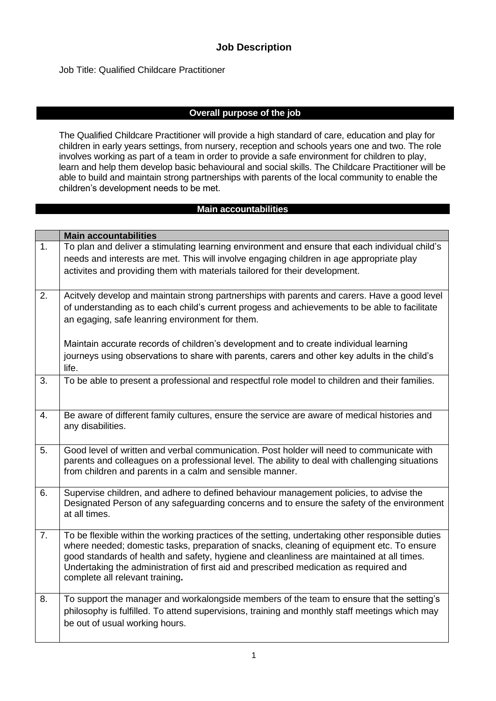### **Job Description**

Job Title: Qualified Childcare Practitioner

### **Overall purpose of the job**

The Qualified Childcare Practitioner will provide a high standard of care, education and play for children in early years settings, from nursery, reception and schools years one and two. The role involves working as part of a team in order to provide a safe environment for children to play, learn and help them develop basic behavioural and social skills. The Childcare Practitioner will be able to build and maintain strong partnerships with parents of the local community to enable the children's development needs to be met.

#### **Main accountabilities**

|                | <b>Main accountabilities</b>                                                                                                                                                                                                                                                                                                                                                                                           |
|----------------|------------------------------------------------------------------------------------------------------------------------------------------------------------------------------------------------------------------------------------------------------------------------------------------------------------------------------------------------------------------------------------------------------------------------|
| 1.             | To plan and deliver a stimulating learning environment and ensure that each individual child's<br>needs and interests are met. This will involve engaging children in age appropriate play                                                                                                                                                                                                                             |
|                | activites and providing them with materials tailored for their development.                                                                                                                                                                                                                                                                                                                                            |
| 2.             | Acitvely develop and maintain strong partnerships with parents and carers. Have a good level<br>of understanding as to each child's current progess and achievements to be able to facilitate<br>an egaging, safe leanring environment for them.                                                                                                                                                                       |
|                | Maintain accurate records of children's development and to create individual learning<br>journeys using observations to share with parents, carers and other key adults in the child's<br>life.                                                                                                                                                                                                                        |
| 3.             | To be able to present a professional and respectful role model to children and their families.                                                                                                                                                                                                                                                                                                                         |
| 4.             | Be aware of different family cultures, ensure the service are aware of medical histories and<br>any disabilities.                                                                                                                                                                                                                                                                                                      |
| 5.             | Good level of written and verbal communication. Post holder will need to communicate with<br>parents and colleagues on a professional level. The ability to deal with challenging situations<br>from children and parents in a calm and sensible manner.                                                                                                                                                               |
| 6.             | Supervise children, and adhere to defined behaviour management policies, to advise the<br>Designated Person of any safeguarding concerns and to ensure the safety of the environment<br>at all times.                                                                                                                                                                                                                  |
| 7 <sub>1</sub> | To be flexible within the working practices of the setting, undertaking other responsible duties<br>where needed; domestic tasks, preparation of snacks, cleaning of equipment etc. To ensure<br>good standards of health and safety, hygiene and cleanliness are maintained at all times.<br>Undertaking the administration of first aid and prescribed medication as required and<br>complete all relevant training. |
| 8.             | To support the manager and workalongside members of the team to ensure that the setting's<br>philosophy is fulfilled. To attend supervisions, training and monthly staff meetings which may<br>be out of usual working hours.                                                                                                                                                                                          |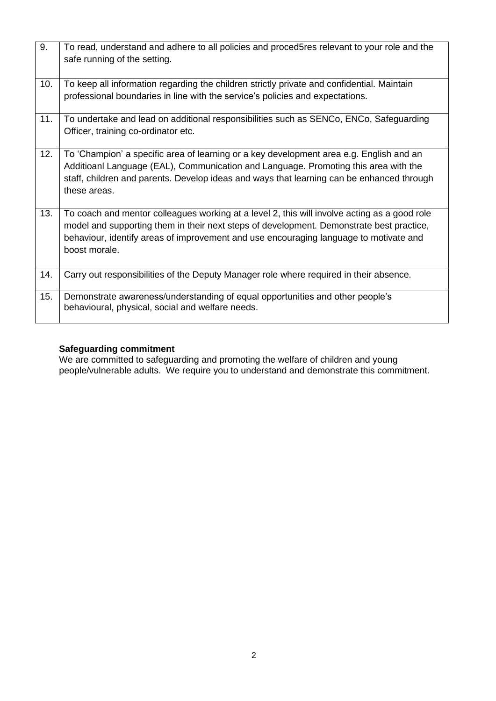| 9.  | To read, understand and adhere to all policies and proced5res relevant to your role and the<br>safe running of the setting.                                                                                                                                                                        |
|-----|----------------------------------------------------------------------------------------------------------------------------------------------------------------------------------------------------------------------------------------------------------------------------------------------------|
| 10. | To keep all information regarding the children strictly private and confidential. Maintain<br>professional boundaries in line with the service's policies and expectations.                                                                                                                        |
| 11. | To undertake and lead on additional responsibilities such as SENCo, ENCo, Safeguarding<br>Officer, training co-ordinator etc.                                                                                                                                                                      |
| 12. | To 'Champion' a specific area of learning or a key development area e.g. English and an<br>Additioanl Language (EAL), Communication and Language. Promoting this area with the<br>staff, children and parents. Develop ideas and ways that learning can be enhanced through<br>these areas.        |
| 13. | To coach and mentor colleagues working at a level 2, this will involve acting as a good role<br>model and supporting them in their next steps of development. Demonstrate best practice,<br>behaviour, identify areas of improvement and use encouraging language to motivate and<br>boost morale. |
| 14. | Carry out responsibilities of the Deputy Manager role where required in their absence.                                                                                                                                                                                                             |
| 15. | Demonstrate awareness/understanding of equal opportunities and other people's<br>behavioural, physical, social and welfare needs.                                                                                                                                                                  |

## **Safeguarding commitment**

We are committed to safeguarding and promoting the welfare of children and young people/vulnerable adults. We require you to understand and demonstrate this commitment.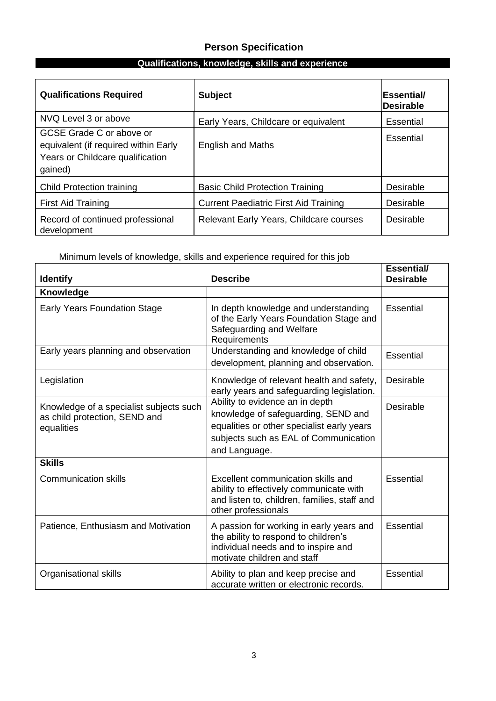# **Person Specification**

# **Qualifications, knowledge, skills and experience**

| <b>Qualifications Required</b>                                                                                  | <b>Subject</b>                               | <b>Essential/</b><br><b>Desirable</b> |
|-----------------------------------------------------------------------------------------------------------------|----------------------------------------------|---------------------------------------|
| NVQ Level 3 or above                                                                                            | Early Years, Childcare or equivalent         | Essential                             |
| GCSE Grade C or above or<br>equivalent (if required within Early<br>Years or Childcare qualification<br>gained) | <b>English and Maths</b>                     | Essential                             |
| <b>Child Protection training</b>                                                                                | <b>Basic Child Protection Training</b>       | Desirable                             |
| First Aid Training                                                                                              | <b>Current Paediatric First Aid Training</b> | Desirable                             |
| Record of continued professional<br>development                                                                 | Relevant Early Years, Childcare courses      | Desirable                             |

# Minimum levels of knowledge, skills and experience required for this job

| <b>Identify</b>                                                                        | <b>Describe</b>                                                                                                                                                                | <b>Essential/</b><br><b>Desirable</b> |
|----------------------------------------------------------------------------------------|--------------------------------------------------------------------------------------------------------------------------------------------------------------------------------|---------------------------------------|
| Knowledge                                                                              |                                                                                                                                                                                |                                       |
| <b>Early Years Foundation Stage</b>                                                    | In depth knowledge and understanding<br>of the Early Years Foundation Stage and<br>Safeguarding and Welfare<br>Requirements                                                    | <b>Essential</b>                      |
| Early years planning and observation                                                   | Understanding and knowledge of child<br>development, planning and observation.                                                                                                 | Essential                             |
| Legislation                                                                            | Knowledge of relevant health and safety,<br>early years and safeguarding legislation.                                                                                          | <b>Desirable</b>                      |
| Knowledge of a specialist subjects such<br>as child protection, SEND and<br>equalities | Ability to evidence an in depth<br>knowledge of safeguarding, SEND and<br>equalities or other specialist early years<br>subjects such as EAL of Communication<br>and Language. | <b>Desirable</b>                      |
| <b>Skills</b>                                                                          |                                                                                                                                                                                |                                       |
| <b>Communication skills</b>                                                            | Excellent communication skills and<br>ability to effectively communicate with<br>and listen to, children, families, staff and<br>other professionals                           | <b>Essential</b>                      |
| Patience, Enthusiasm and Motivation                                                    | A passion for working in early years and<br>the ability to respond to children's<br>individual needs and to inspire and<br>motivate children and staff                         | Essential                             |
| Organisational skills                                                                  | Ability to plan and keep precise and<br>accurate written or electronic records.                                                                                                | <b>Essential</b>                      |